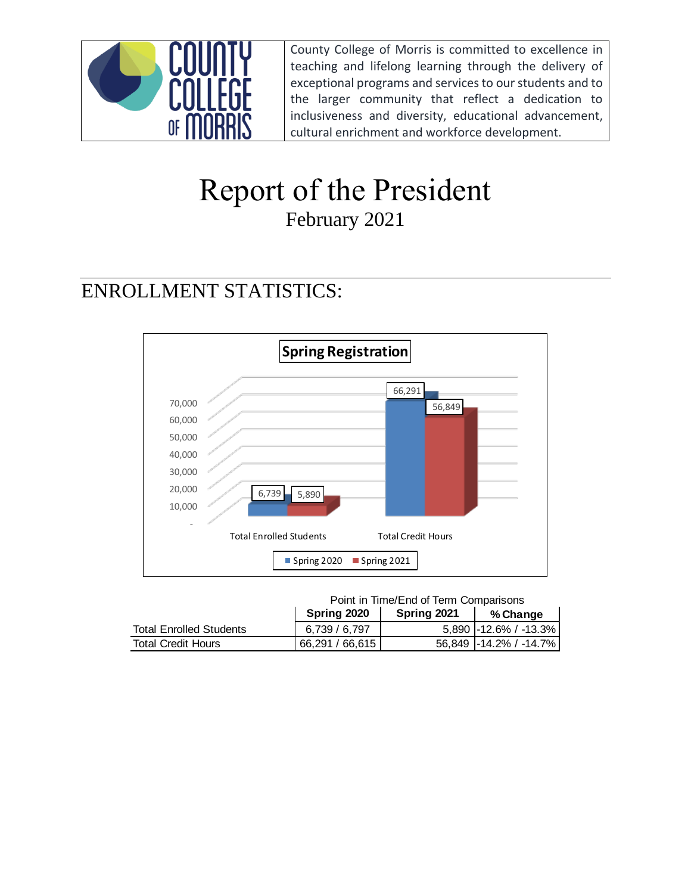

County College of Morris is committed to excellence in teaching and lifelong learning through the delivery of exceptional programs and services to our students and to the larger community that reflect a dedication to inclusiveness and diversity, educational advancement, cultural enrichment and workforce development.

# Report of the President February 2021

## ENROLLMENT STATISTICS:



Point in Time/End of Term Comparisons

|                                | Spring 2020     | Spring 2021 | % Change               |
|--------------------------------|-----------------|-------------|------------------------|
| <b>Total Enrolled Students</b> | 6.739 / 6.797   |             | 5.890 -12.6% / -13.3%  |
| Total Credit Hours             | 66.291 / 66.615 |             | 56.849 -14.2% / -14.7% |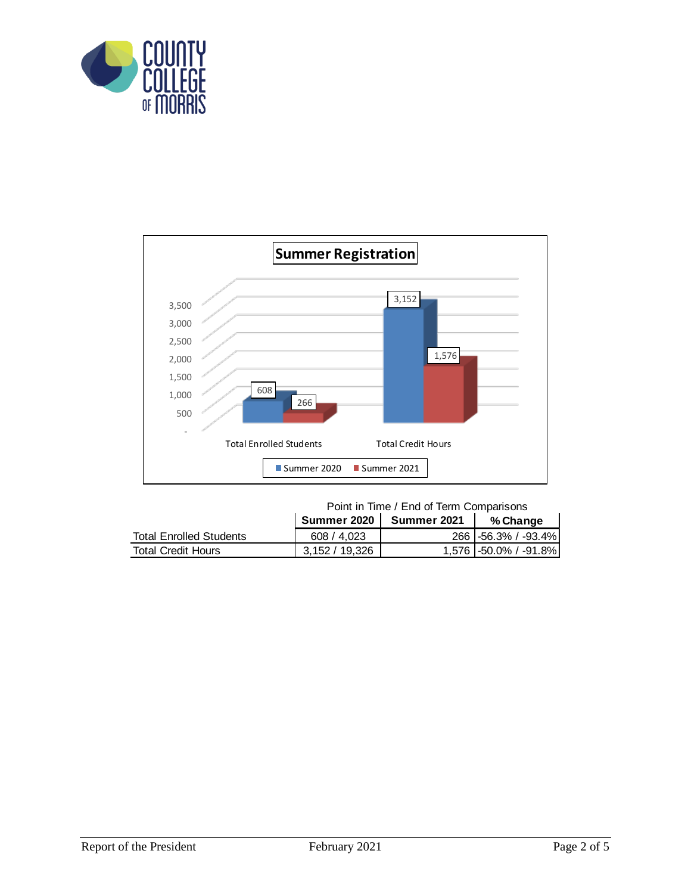



Point in Time / End of Term Comparisons

|                                |                | Summer 2021 | % Change                |
|--------------------------------|----------------|-------------|-------------------------|
| <b>Total Enrolled Students</b> | 608 / 4.023    |             | 266 -56.3% / -93.4%     |
| <b>Total Credit Hours</b>      | 3.152 / 19.326 |             | 1,576   -50.0% / -91.8% |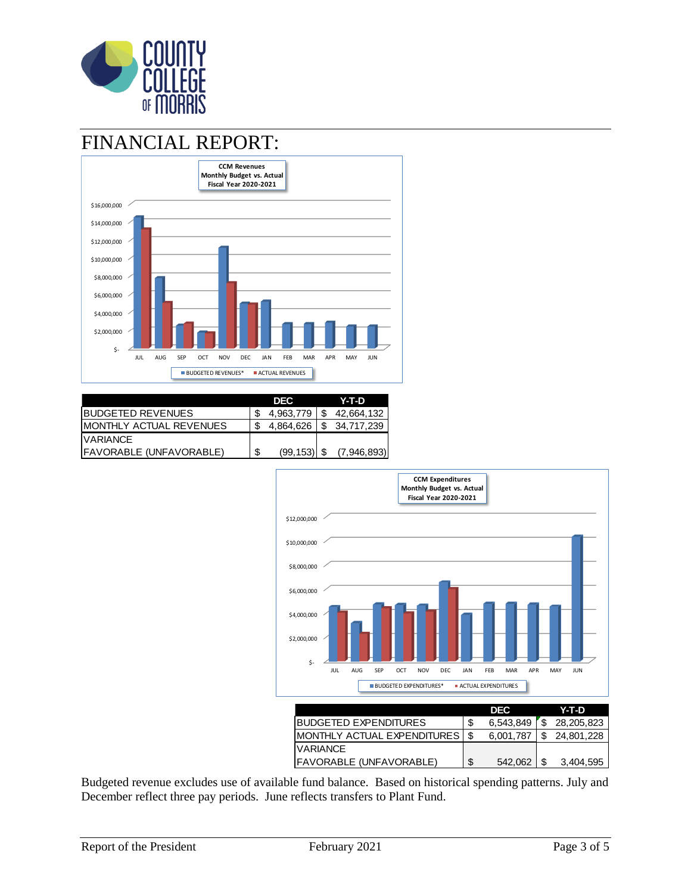

### FINANCIAL REPORT:



|                                 |   | DEC.      | Y-T-D       |
|---------------------------------|---|-----------|-------------|
| IBUDGETED REVENUES              |   | 4.963.779 | 42,664,132  |
| <b>IMONTHLY ACTUAL REVENUES</b> |   | 4,864,626 | 34.717.239  |
| <b>IVARIANCE</b>                |   |           |             |
| IFAVORABLE (UNFAVORABLE)        | S | (99, 153) | (7,946,893) |



Budgeted revenue excludes use of available fund balance. Based on historical spending patterns. July and December reflect three pay periods. June reflects transfers to Plant Fund.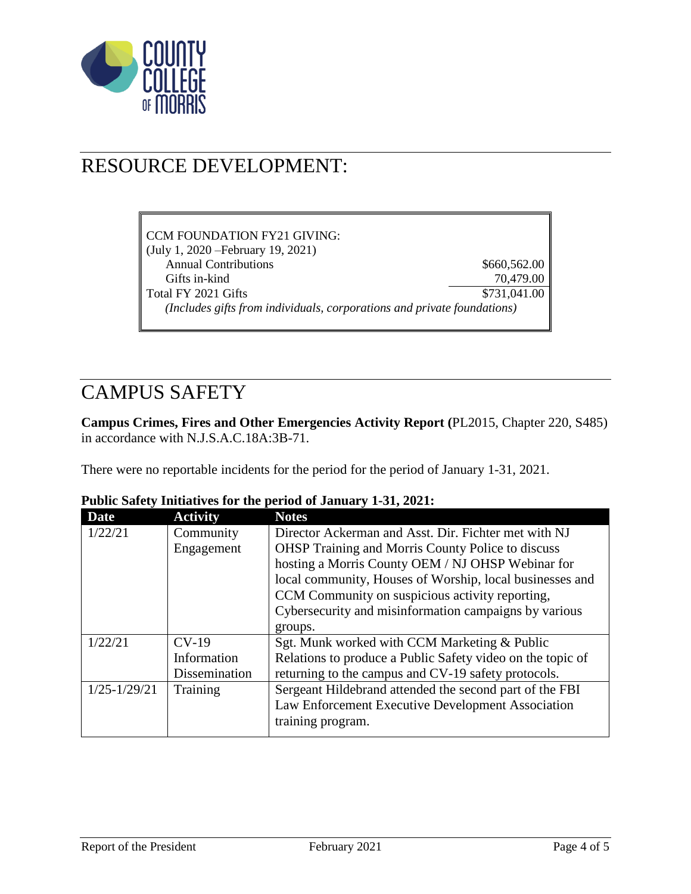

### RESOURCE DEVELOPMENT:

| CCM FOUNDATION FY21 GIVING:                                             |              |
|-------------------------------------------------------------------------|--------------|
| (July 1, 2020 – February 19, 2021)                                      |              |
| <b>Annual Contributions</b>                                             | \$660,562.00 |
| Gifts in-kind                                                           | 70,479.00    |
| Total FY 2021 Gifts                                                     | \$731,041.00 |
| (Includes gifts from individuals, corporations and private foundations) |              |

### CAMPUS SAFETY

**Campus Crimes, Fires and Other Emergencies Activity Report (**PL2015, Chapter 220, S485) in accordance with N.J.S.A.C.18A:3B-71.

There were no reportable incidents for the period for the period of January 1-31, 2021.

| <b>Date</b>      | <b>Activity</b> | <b>Notes</b>                                               |
|------------------|-----------------|------------------------------------------------------------|
| 1/22/21          | Community       | Director Ackerman and Asst. Dir. Fichter met with NJ       |
|                  | Engagement      | <b>OHSP</b> Training and Morris County Police to discuss   |
|                  |                 | hosting a Morris County OEM / NJ OHSP Webinar for          |
|                  |                 | local community, Houses of Worship, local businesses and   |
|                  |                 | CCM Community on suspicious activity reporting,            |
|                  |                 | Cybersecurity and misinformation campaigns by various      |
|                  |                 | groups.                                                    |
| 1/22/21          | $CV-19$         | Sgt. Munk worked with CCM Marketing & Public               |
|                  | Information     | Relations to produce a Public Safety video on the topic of |
|                  | Dissemination   | returning to the campus and CV-19 safety protocols.        |
| $1/25 - 1/29/21$ | Training        | Sergeant Hildebrand attended the second part of the FBI    |
|                  |                 | Law Enforcement Executive Development Association          |
|                  |                 | training program.                                          |
|                  |                 |                                                            |

#### **Public Safety Initiatives for the period of January 1-31, 2021:**